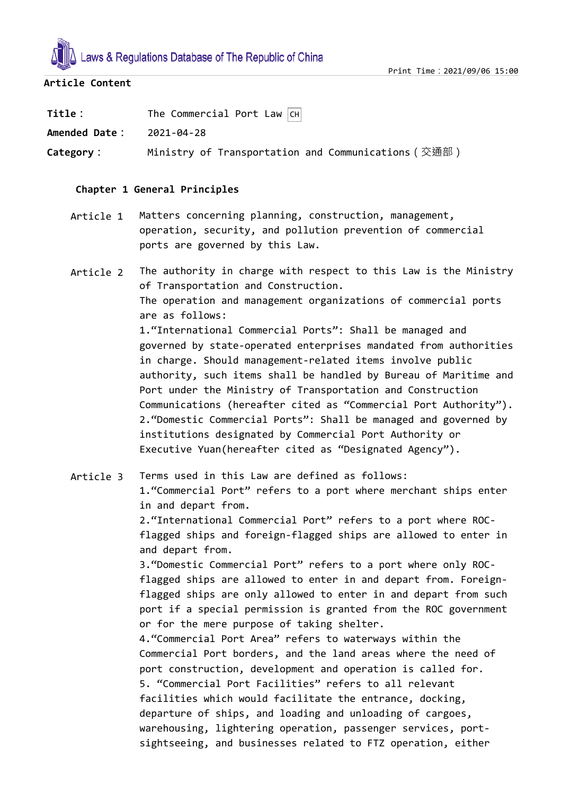

## **Article Content**

| Title:        | The Commercial Port Law $\boxed{CH}$                 |
|---------------|------------------------------------------------------|
| Amended Date: | 2021-04-28                                           |
| Category:     | Ministry of Transportation and Communications (交通部 ) |

## **Chapter 1 General Principles**

- Article 1 Matters concerning planning, construction, management, operation, security, and pollution prevention of commercial ports are governed by this Law.
- Article 2 The authority in charge with respect to this Law is the Ministry of Transportation and Construction. The operation and management organizations of commercial ports are as follows: 1."International Commercial Ports": Shall be managed and governed by state-operated enterprises mandated from authorities in charge. Should management-related items involve public authority, such items shall be handled by Bureau of Maritime and Port under the Ministry of Transportation and Construction Communications (hereafter cited as "Commercial Port Authority"). 2."Domestic Commercial Ports": Shall be managed and governed by institutions designated by Commercial Port Authority or Executive Yuan(hereafter cited as "Designated Agency").

Article 3 Terms used in this Law are defined as follows: 1."Commercial Port" refers to a port where merchant ships enter in and depart from. 2."International Commercial Port" refers to a port where ROCflagged ships and foreign-flagged ships are allowed to enter in and depart from. 3."Domestic Commercial Port" refers to a port where only ROCflagged ships are allowed to enter in and depart from. Foreignflagged ships are only allowed to enter in and depart from such port if a special permission is granted from the ROC government or for the mere purpose of taking shelter. 4."Commercial Port Area" refers to waterways within the Commercial Port borders, and the land areas where the need of port construction, development and operation is called for. 5. "Commercial Port Facilities" refers to all relevant facilities which would facilitate the entrance, docking, departure of ships, and loading and unloading of cargoes, warehousing, lightering operation, passenger services, portsightseeing, and businesses related to FTZ operation, either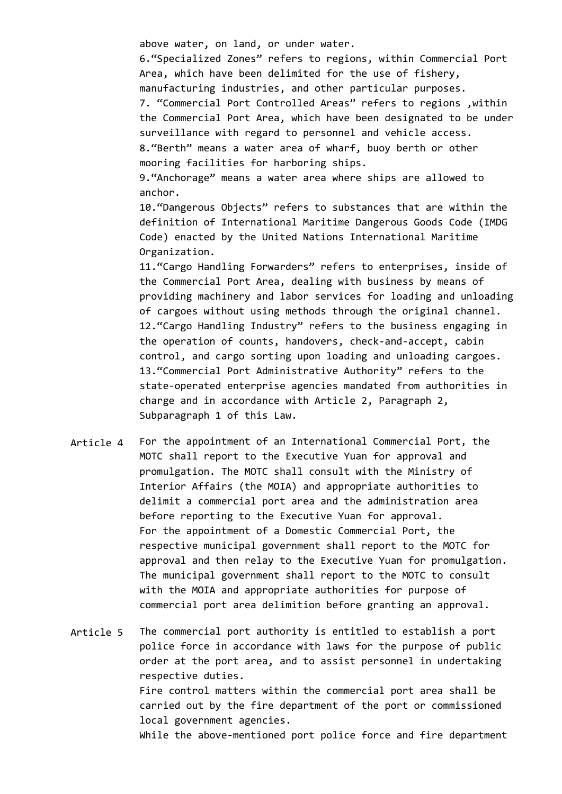above water, on land, or under water.

6."Specialized Zones" refers to regions, within Commercial Port Area, which have been delimited for the use of fishery, manufacturing industries, and other particular purposes. 7. "Commercial Port Controlled Areas" refers to regions ,within the Commercial Port Area, which have been designated to be under surveillance with regard to personnel and vehicle access. 8."Berth" means a water area of wharf, buoy berth or other mooring facilities for harboring ships. 9."Anchorage" means a water area where ships are allowed to anchor. 10."Dangerous Objects" refers to substances that are within the definition of International Maritime Dangerous Goods Code (IMDG Code) enacted by the United Nations International Maritime Organization. 11."Cargo Handling Forwarders" refers to enterprises, inside of the Commercial Port Area, dealing with business by means of

providing machinery and labor services for loading and unloading of cargoes without using methods through the original channel. 12."Cargo Handling Industry" refers to the business engaging in the operation of counts, handovers, check-and-accept, cabin control, and cargo sorting upon loading and unloading cargoes. 13."Commercial Port Administrative Authority" refers to the state-operated enterprise agencies mandated from authorities in charge and in accordance with Article 2, Paragraph 2, Subparagraph 1 of this Law.

Article 4 For the appointment of an International Commercial Port, the MOTC shall report to the Executive Yuan for approval and promulgation. The MOTC shall consult with the Ministry of Interior Affairs (the MOIA) and appropriate authorities to delimit a commercial port area and the administration area before reporting to the Executive Yuan for approval. For the appointment of a Domestic Commercial Port, the respective municipal government shall report to the MOTC for approval and then relay to the Executive Yuan for promulgation. The municipal government shall report to the MOTC to consult with the MOIA and appropriate authorities for purpose of commercial port area delimition before granting an approval.

Article 5 The commercial port authority is entitled to establish a port police force in accordance with laws for the purpose of public order at the port area, and to assist personnel in undertaking respective duties. Fire control matters within the commercial port area shall be carried out by the fire department of the port or commissioned local government agencies. While the above-mentioned port police force and fire department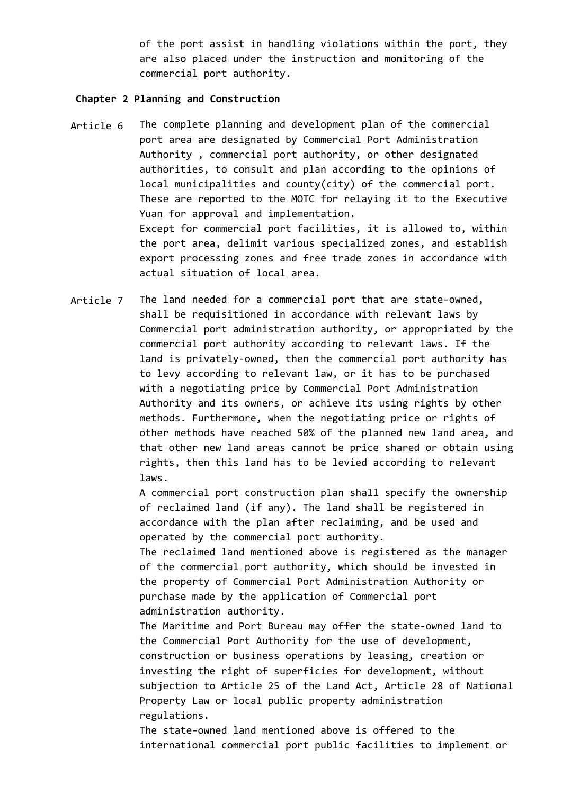of the port assist in handling violations within the port, they are also placed under the instruction and monitoring of the commercial port authority.

## **Chapter 2 Planning and Construction**

- Article 6 The complete planning and development plan of the commercial port area are designated by Commercial Port Administration Authority , commercial port authority, or other designated authorities, to consult and plan according to the opinions of local municipalities and county(city) of the commercial port. These are reported to the MOTC for relaying it to the Executive Yuan for approval and implementation. Except for commercial port facilities, it is allowed to, within the port area, delimit various specialized zones, and establish export processing zones and free trade zones in accordance with actual situation of local area.
- Article 7 The land needed for a commercial port that are state-owned, shall be requisitioned in accordance with relevant laws by Commercial port administration authority, or appropriated by the commercial port authority according to relevant laws. If the land is privately-owned, then the commercial port authority has to levy according to relevant law, or it has to be purchased with a negotiating price by Commercial Port Administration Authority and its owners, or achieve its using rights by other methods. Furthermore, when the negotiating price or rights of other methods have reached 50% of the planned new land area, and that other new land areas cannot be price shared or obtain using rights, then this land has to be levied according to relevant laws.

A commercial port construction plan shall specify the ownership of reclaimed land (if any). The land shall be registered in accordance with the plan after reclaiming, and be used and operated by the commercial port authority.

The reclaimed land mentioned above is registered as the manager of the commercial port authority, which should be invested in the property of Commercial Port Administration Authority or purchase made by the application of Commercial port administration authority.

The Maritime and Port Bureau may offer the state-owned land to the Commercial Port Authority for the use of development, construction or business operations by leasing, creation or investing the right of superficies for development, without subjection to Article 25 of the Land Act, Article 28 of National Property Law or local public property administration regulations.

The state-owned land mentioned above is offered to the international commercial port public facilities to implement or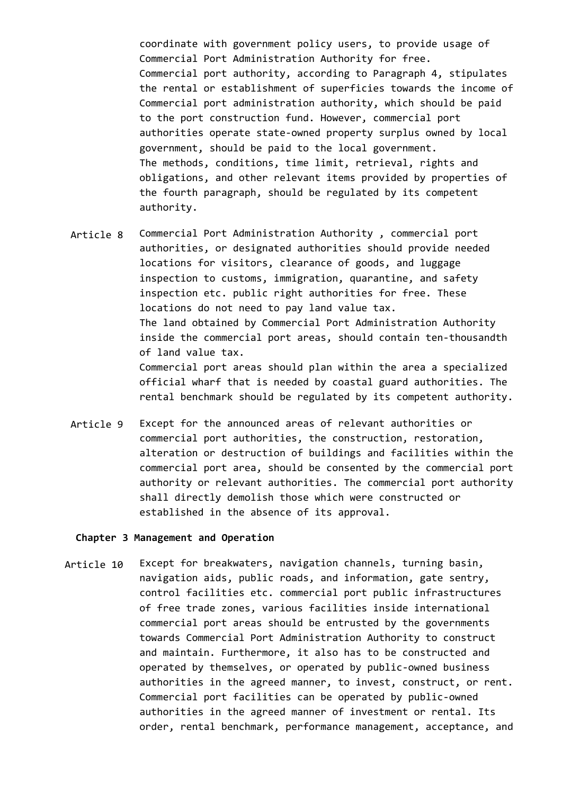coordinate with government policy users, to provide usage of Commercial Port Administration Authority for free. Commercial port authority, according to Paragraph 4, stipulates the rental or establishment of superficies towards the income of Commercial port administration authority, which should be paid to the port construction fund. However, commercial port authorities operate state-owned property surplus owned by local government, should be paid to the local government. The methods, conditions, time limit, retrieval, rights and obligations, and other relevant items provided by properties of the fourth paragraph, should be regulated by its competent authority.

Article 8 Commercial Port Administration Authority , commercial port authorities, or designated authorities should provide needed locations for visitors, clearance of goods, and luggage inspection to customs, immigration, quarantine, and safety inspection etc. public right authorities for free. These locations do not need to pay land value tax. The land obtained by Commercial Port Administration Authority inside the commercial port areas, should contain ten-thousandth of land value tax. Commercial port areas should plan within the area a specialized official wharf that is needed by coastal guard authorities. The

Article 9 Except for the announced areas of relevant authorities or commercial port authorities, the construction, restoration, alteration or destruction of buildings and facilities within the commercial port area, should be consented by the commercial port authority or relevant authorities. The commercial port authority shall directly demolish those which were constructed or established in the absence of its approval.

rental benchmark should be regulated by its competent authority.

#### **Chapter 3 Management and Operation**

Article 10 Except for breakwaters, navigation channels, turning basin, navigation aids, public roads, and information, gate sentry, control facilities etc. commercial port public infrastructures of free trade zones, various facilities inside international commercial port areas should be entrusted by the governments towards Commercial Port Administration Authority to construct and maintain. Furthermore, it also has to be constructed and operated by themselves, or operated by public-owned business authorities in the agreed manner, to invest, construct, or rent. Commercial port facilities can be operated by public-owned authorities in the agreed manner of investment or rental. Its order, rental benchmark, performance management, acceptance, and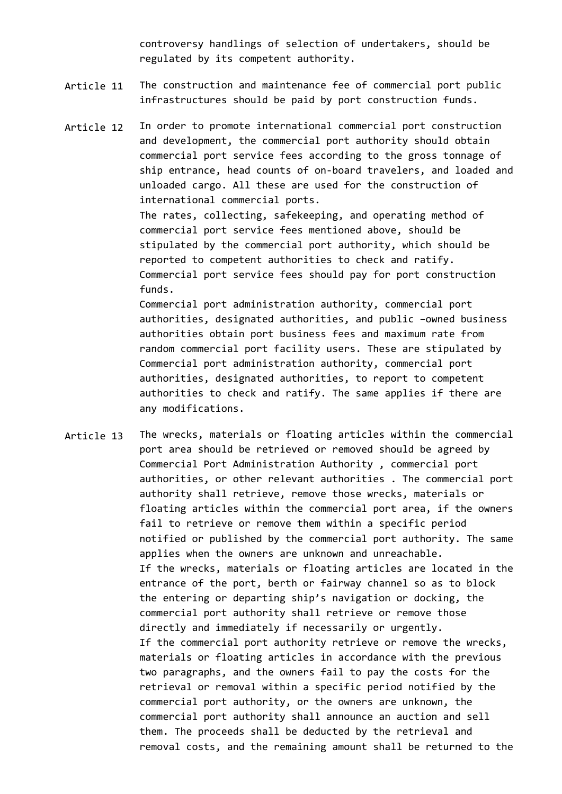controversy handlings of selection of undertakers, should be regulated by its competent authority.

- Article 11 The construction and maintenance fee of commercial port public infrastructures should be paid by port construction funds.
- Article 12 In order to promote international commercial port construction and development, the commercial port authority should obtain commercial port service fees according to the gross tonnage of ship entrance, head counts of on-board travelers, and loaded and unloaded cargo. All these are used for the construction of international commercial ports. The rates, collecting, safekeeping, and operating method of commercial port service fees mentioned above, should be stipulated by the commercial port authority, which should be reported to competent authorities to check and ratify. Commercial port service fees should pay for port construction funds. Commercial port administration authority, commercial port

authorities, designated authorities, and public –owned business authorities obtain port business fees and maximum rate from random commercial port facility users. These are stipulated by Commercial port administration authority, commercial port authorities, designated authorities, to report to competent authorities to check and ratify. The same applies if there are any modifications.

Article 13 The wrecks, materials or floating articles within the commercial port area should be retrieved or removed should be agreed by Commercial Port Administration Authority , commercial port authorities, or other relevant authorities . The commercial port authority shall retrieve, remove those wrecks, materials or floating articles within the commercial port area, if the owners fail to retrieve or remove them within a specific period notified or published by the commercial port authority. The same applies when the owners are unknown and unreachable. If the wrecks, materials or floating articles are located in the entrance of the port, berth or fairway channel so as to block the entering or departing ship's navigation or docking, the commercial port authority shall retrieve or remove those directly and immediately if necessarily or urgently. If the commercial port authority retrieve or remove the wrecks, materials or floating articles in accordance with the previous two paragraphs, and the owners fail to pay the costs for the retrieval or removal within a specific period notified by the commercial port authority, or the owners are unknown, the commercial port authority shall announce an auction and sell them. The proceeds shall be deducted by the retrieval and removal costs, and the remaining amount shall be returned to the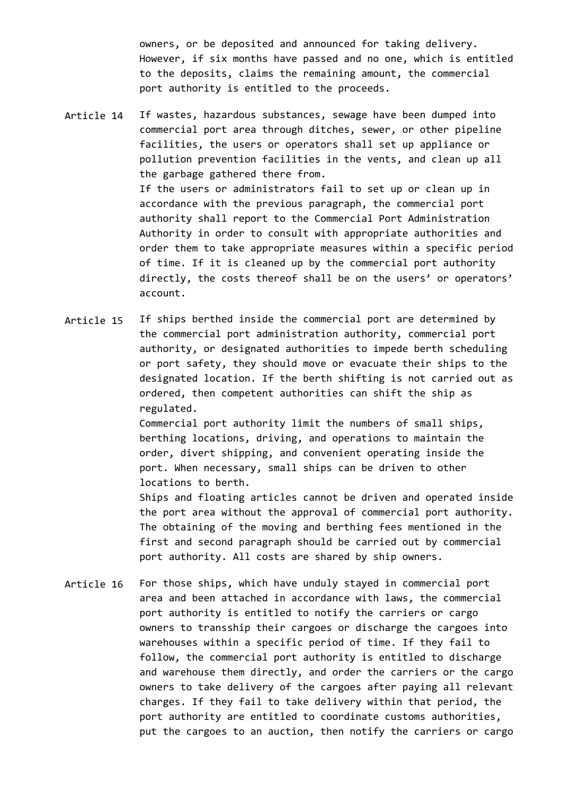owners, or be deposited and announced for taking delivery. However, if six months have passed and no one, which is entitled to the deposits, claims the remaining amount, the commercial port authority is entitled to the proceeds.

- Article 14 If wastes, hazardous substances, sewage have been dumped into commercial port area through ditches, sewer, or other pipeline facilities, the users or operators shall set up appliance or pollution prevention facilities in the vents, and clean up all the garbage gathered there from. If the users or administrators fail to set up or clean up in accordance with the previous paragraph, the commercial port authority shall report to the Commercial Port Administration Authority in order to consult with appropriate authorities and order them to take appropriate measures within a specific period of time. If it is cleaned up by the commercial port authority directly, the costs thereof shall be on the users' or operators' account.
- Article 15 If ships berthed inside the commercial port are determined by the commercial port administration authority, commercial port authority, or designated authorities to impede berth scheduling or port safety, they should move or evacuate their ships to the designated location. If the berth shifting is not carried out as ordered, then competent authorities can shift the ship as regulated.

Commercial port authority limit the numbers of small ships, berthing locations, driving, and operations to maintain the order, divert shipping, and convenient operating inside the port. When necessary, small ships can be driven to other locations to berth.

Ships and floating articles cannot be driven and operated inside the port area without the approval of commercial port authority. The obtaining of the moving and berthing fees mentioned in the first and second paragraph should be carried out by commercial port authority. All costs are shared by ship owners.

Article 16 For those ships, which have unduly stayed in commercial port area and been attached in accordance with laws, the commercial port authority is entitled to notify the carriers or cargo owners to transship their cargoes or discharge the cargoes into warehouses within a specific period of time. If they fail to follow, the commercial port authority is entitled to discharge and warehouse them directly, and order the carriers or the cargo owners to take delivery of the cargoes after paying all relevant charges. If they fail to take delivery within that period, the port authority are entitled to coordinate customs authorities, put the cargoes to an auction, then notify the carriers or cargo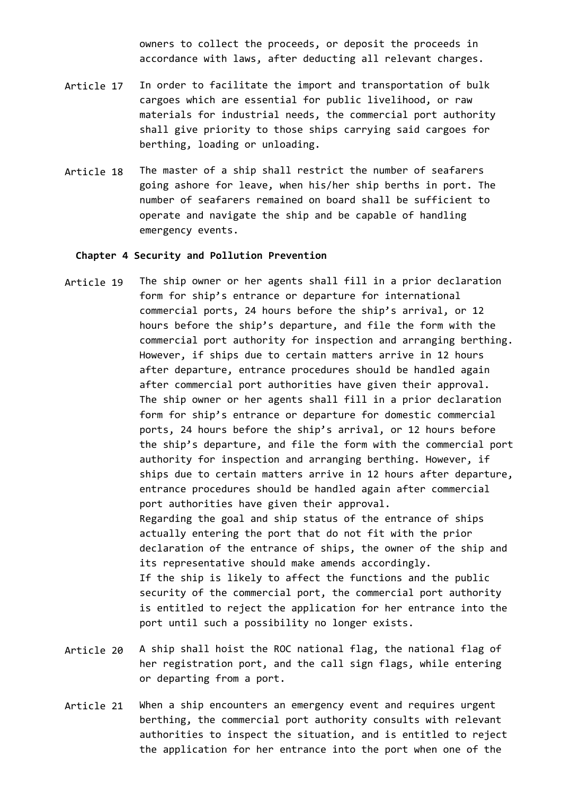owners to collect the proceeds, or deposit the proceeds in accordance with laws, after deducting all relevant charges.

- Article 17 In order to facilitate the import and transportation of bulk cargoes which are essential for public livelihood, or raw materials for industrial needs, the commercial port authority shall give priority to those ships carrying said cargoes for berthing, loading or unloading.
- Article 18 The master of a ship shall restrict the number of seafarers going ashore for leave, when his/her ship berths in port. The number of seafarers remained on board shall be sufficient to operate and navigate the ship and be capable of handling emergency events.

#### **Chapter 4 Security and Pollution Prevention**

- Article 19 The ship owner or her agents shall fill in a prior declaration form for ship's entrance or departure for international commercial ports, 24 hours before the ship's arrival, or 12 hours before the ship's departure, and file the form with the commercial port authority for inspection and arranging berthing. However, if ships due to certain matters arrive in 12 hours after departure, entrance procedures should be handled again after commercial port authorities have given their approval. The ship owner or her agents shall fill in a prior declaration form for ship's entrance or departure for domestic commercial ports, 24 hours before the ship's arrival, or 12 hours before the ship's departure, and file the form with the commercial port authority for inspection and arranging berthing. However, if ships due to certain matters arrive in 12 hours after departure, entrance procedures should be handled again after commercial port authorities have given their approval. Regarding the goal and ship status of the entrance of ships actually entering the port that do not fit with the prior declaration of the entrance of ships, the owner of the ship and its representative should make amends accordingly. If the ship is likely to affect the functions and the public security of the commercial port, the commercial port authority is entitled to reject the application for her entrance into the port until such a possibility no longer exists.
- Article 20 A ship shall hoist the ROC national flag, the national flag of her registration port, and the call sign flags, while entering or departing from a port.
- Article 21 When a ship encounters an emergency event and requires urgent berthing, the commercial port authority consults with relevant authorities to inspect the situation, and is entitled to reject the application for her entrance into the port when one of the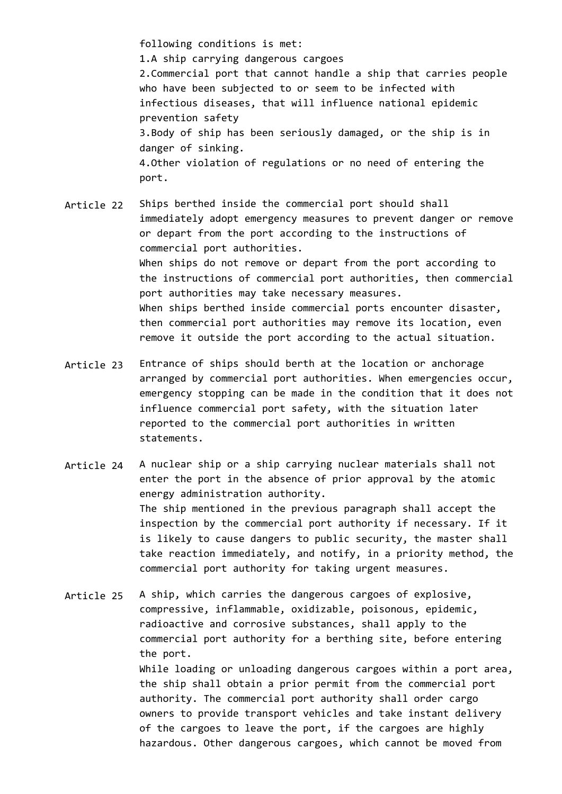following conditions is met: 1.A ship carrying dangerous cargoes 2.Commercial port that cannot handle a ship that carries people who have been subjected to or seem to be infected with infectious diseases, that will influence national epidemic prevention safety 3.Body of ship has been seriously damaged, or the ship is in danger of sinking. 4.Other violation of regulations or no need of entering the port.

Article 22 Ships berthed inside the commercial port should shall immediately adopt emergency measures to prevent danger or remove or depart from the port according to the instructions of commercial port authorities. When ships do not remove or depart from the port according to the instructions of commercial port authorities, then commercial port authorities may take necessary measures. When ships berthed inside commercial ports encounter disaster, then commercial port authorities may remove its location, even remove it outside the port according to the actual situation.

- Article 23 Entrance of ships should berth at the location or anchorage arranged by commercial port authorities. When emergencies occur, emergency stopping can be made in the condition that it does not influence commercial port safety, with the situation later reported to the commercial port authorities in written statements.
- Article 24 A nuclear ship or a ship carrying nuclear materials shall not enter the port in the absence of prior approval by the atomic energy administration authority. The ship mentioned in the previous paragraph shall accept the inspection by the commercial port authority if necessary. If it is likely to cause dangers to public security, the master shall take reaction immediately, and notify, in a priority method, the commercial port authority for taking urgent measures.

Article 25 A ship, which carries the dangerous cargoes of explosive, compressive, inflammable, oxidizable, poisonous, epidemic, radioactive and corrosive substances, shall apply to the commercial port authority for a berthing site, before entering the port. While loading or unloading dangerous cargoes within a port area, the ship shall obtain a prior permit from the commercial port authority. The commercial port authority shall order cargo owners to provide transport vehicles and take instant delivery of the cargoes to leave the port, if the cargoes are highly hazardous. Other dangerous cargoes, which cannot be moved from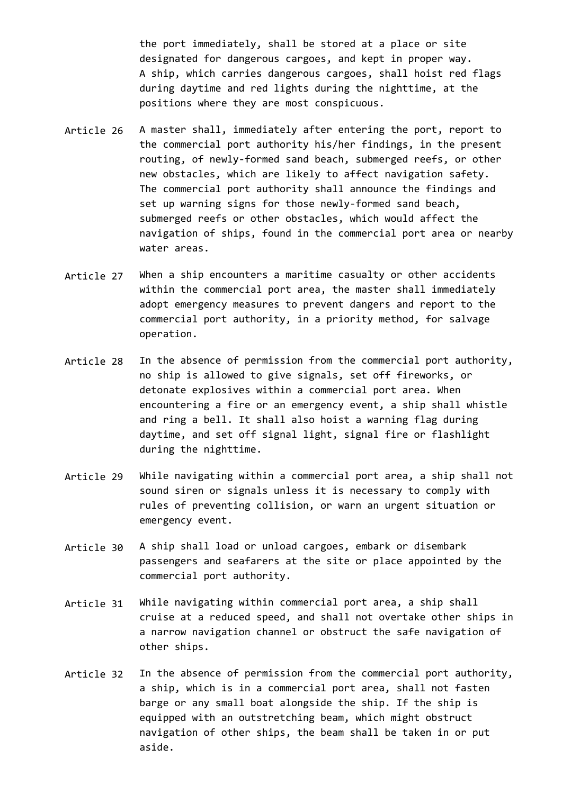the port immediately, shall be stored at a place or site designated for dangerous cargoes, and kept in proper way. A ship, which carries dangerous cargoes, shall hoist red flags during daytime and red lights during the nighttime, at the positions where they are most conspicuous.

- Article 26 A master shall, immediately after entering the port, report to the commercial port authority his/her findings, in the present routing, of newly-formed sand beach, submerged reefs, or other new obstacles, which are likely to affect navigation safety. The commercial port authority shall announce the findings and set up warning signs for those newly-formed sand beach, submerged reefs or other obstacles, which would affect the navigation of ships, found in the commercial port area or nearby water areas.
- Article 27 When a ship encounters a maritime casualty or other accidents within the commercial port area, the master shall immediately adopt emergency measures to prevent dangers and report to the commercial port authority, in a priority method, for salvage operation.
- Article 28 In the absence of permission from the commercial port authority, no ship is allowed to give signals, set off fireworks, or detonate explosives within a commercial port area. When encountering a fire or an emergency event, a ship shall whistle and ring a bell. It shall also hoist a warning flag during daytime, and set off signal light, signal fire or flashlight during the nighttime.
- Article 29 While navigating within a commercial port area, a ship shall not sound siren or signals unless it is necessary to comply with rules of preventing collision, or warn an urgent situation or emergency event.
- Article 30 A ship shall load or unload cargoes, embark or disembark passengers and seafarers at the site or place appointed by the commercial port authority.
- Article 31 While navigating within commercial port area, a ship shall cruise at a reduced speed, and shall not overtake other ships in a narrow navigation channel or obstruct the safe navigation of other ships.
- Article 32 In the absence of permission from the commercial port authority, a ship, which is in a commercial port area, shall not fasten barge or any small boat alongside the ship. If the ship is equipped with an outstretching beam, which might obstruct navigation of other ships, the beam shall be taken in or put aside.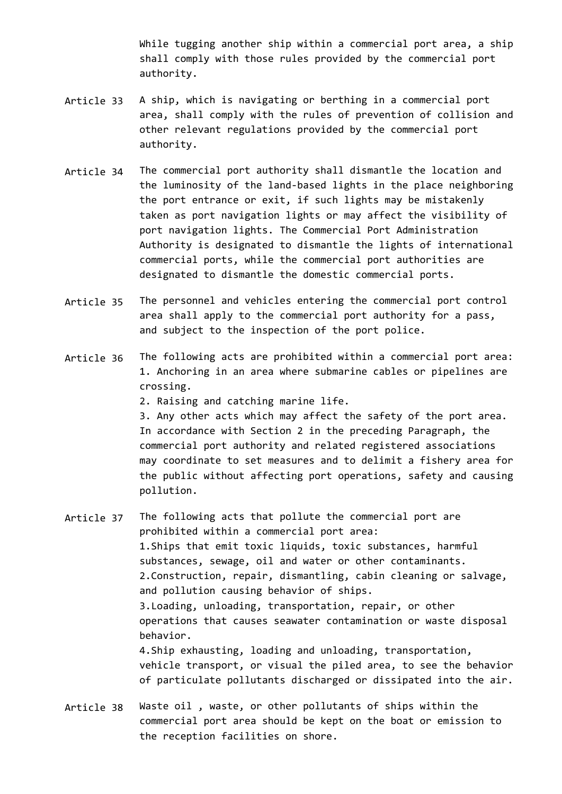While tugging another ship within a commercial port area, a ship shall comply with those rules provided by the commercial port authority.

- Article 33 A ship, which is navigating or berthing in a commercial port area, shall comply with the rules of prevention of collision and other relevant regulations provided by the commercial port authority.
- Article 34 The commercial port authority shall dismantle the location and the luminosity of the land-based lights in the place neighboring the port entrance or exit, if such lights may be mistakenly taken as port navigation lights or may affect the visibility of port navigation lights. The Commercial Port Administration Authority is designated to dismantle the lights of international commercial ports, while the commercial port authorities are designated to dismantle the domestic commercial ports.
- Article 35 The personnel and vehicles entering the commercial port control area shall apply to the commercial port authority for a pass, and subject to the inspection of the port police.
- Article 36 The following acts are prohibited within a commercial port area: 1. Anchoring in an area where submarine cables or pipelines are crossing.
	- 2. Raising and catching marine life.

3. Any other acts which may affect the safety of the port area. In accordance with Section 2 in the preceding Paragraph, the commercial port authority and related registered associations may coordinate to set measures and to delimit a fishery area for the public without affecting port operations, safety and causing pollution.

- Article 37 The following acts that pollute the commercial port are prohibited within a commercial port area: 1.Ships that emit toxic liquids, toxic substances, harmful substances, sewage, oil and water or other contaminants. 2.Construction, repair, dismantling, cabin cleaning or salvage, and pollution causing behavior of ships. 3.Loading, unloading, transportation, repair, or other operations that causes seawater contamination or waste disposal behavior. 4.Ship exhausting, loading and unloading, transportation, vehicle transport, or visual the piled area, to see the behavior of particulate pollutants discharged or dissipated into the air.
- Article 38 Waste oil , waste, or other pollutants of ships within the commercial port area should be kept on the boat or emission to the reception facilities on shore.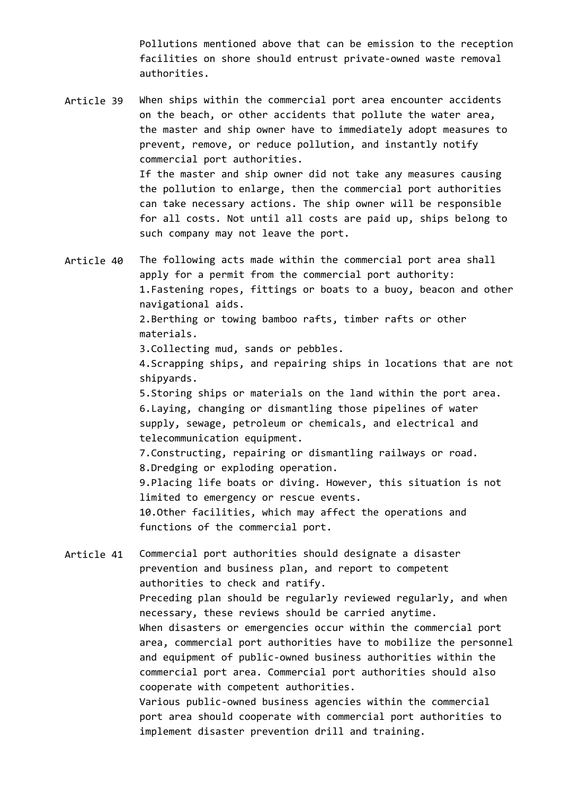Pollutions mentioned above that can be emission to the reception facilities on shore should entrust private-owned waste removal authorities.

Article 39 When ships within the commercial port area encounter accidents on the beach, or other accidents that pollute the water area, the master and ship owner have to immediately adopt measures to prevent, remove, or reduce pollution, and instantly notify commercial port authorities. If the master and ship owner did not take any measures causing the pollution to enlarge, then the commercial port authorities can take necessary actions. The ship owner will be responsible for all costs. Not until all costs are paid up, ships belong to such company may not leave the port.

Article 40 The following acts made within the commercial port area shall apply for a permit from the commercial port authority: 1.Fastening ropes, fittings or boats to a buoy, beacon and other navigational aids. 2.Berthing or towing bamboo rafts, timber rafts or other materials. 3.Collecting mud, sands or pebbles. 4.Scrapping ships, and repairing ships in locations that are not

shipyards.

5.Storing ships or materials on the land within the port area. 6.Laying, changing or dismantling those pipelines of water supply, sewage, petroleum or chemicals, and electrical and telecommunication equipment.

7.Constructing, repairing or dismantling railways or road. 8.Dredging or exploding operation. 9.Placing life boats or diving. However, this situation is not

limited to emergency or rescue events. 10.Other facilities, which may affect the operations and functions of the commercial port.

Article 41 Commercial port authorities should designate a disaster prevention and business plan, and report to competent authorities to check and ratify. Preceding plan should be regularly reviewed regularly, and when necessary, these reviews should be carried anytime. When disasters or emergencies occur within the commercial port area, commercial port authorities have to mobilize the personnel and equipment of public-owned business authorities within the commercial port area. Commercial port authorities should also cooperate with competent authorities. Various public-owned business agencies within the commercial port area should cooperate with commercial port authorities to implement disaster prevention drill and training.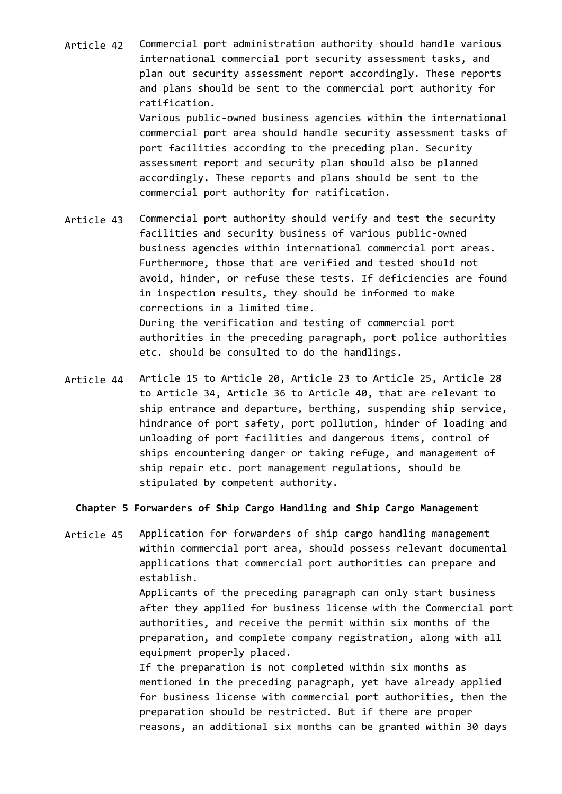Article 42 Commercial port administration authority should handle various international commercial port security assessment tasks, and plan out security assessment report accordingly. These reports and plans should be sent to the commercial port authority for ratification. Various public-owned business agencies within the international commercial port area should handle security assessment tasks of port facilities according to the preceding plan. Security assessment report and security plan should also be planned accordingly. These reports and plans should be sent to the

commercial port authority for ratification.

- Article 43 Commercial port authority should verify and test the security facilities and security business of various public-owned business agencies within international commercial port areas. Furthermore, those that are verified and tested should not avoid, hinder, or refuse these tests. If deficiencies are found in inspection results, they should be informed to make corrections in a limited time. During the verification and testing of commercial port authorities in the preceding paragraph, port police authorities etc. should be consulted to do the handlings.
- Article 44 Article 15 to Article 20, Article 23 to Article 25, Article 28 to Article 34, Article 36 to Article 40, that are relevant to ship entrance and departure, berthing, suspending ship service, hindrance of port safety, port pollution, hinder of loading and unloading of port facilities and dangerous items, control of ships encountering danger or taking refuge, and management of ship repair etc. port management regulations, should be stipulated by competent authority.

**Chapter 5 Forwarders of Ship Cargo Handling and Ship Cargo Management**

Article 45 Application for forwarders of ship cargo handling management within commercial port area, should possess relevant documental applications that commercial port authorities can prepare and establish. Applicants of the preceding paragraph can only start business after they applied for business license with the Commercial port authorities, and receive the permit within six months of the preparation, and complete company registration, along with all equipment properly placed. If the preparation is not completed within six months as mentioned in the preceding paragraph, yet have already applied for business license with commercial port authorities, then the preparation should be restricted. But if there are proper reasons, an additional six months can be granted within 30 days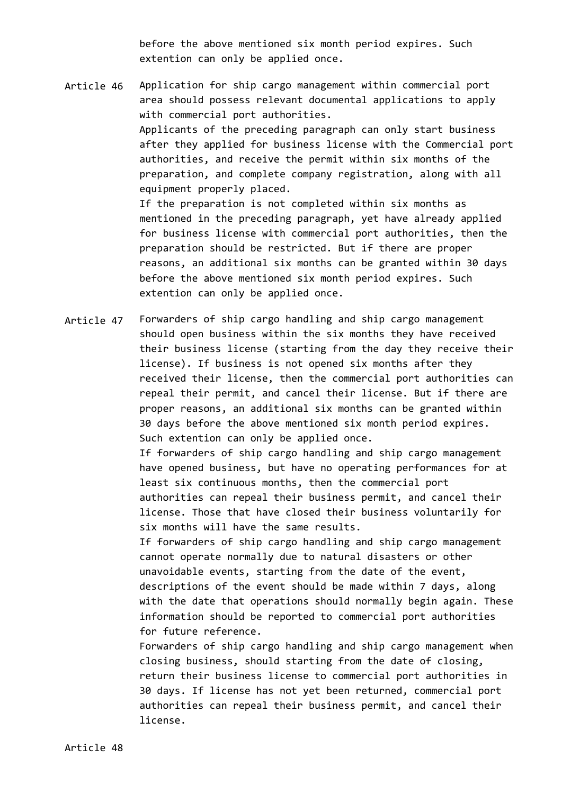before the above mentioned six month period expires. Such extention can only be applied once.

Article 46 Application for ship cargo management within commercial port area should possess relevant documental applications to apply with commercial port authorities. Applicants of the preceding paragraph can only start business after they applied for business license with the Commercial port authorities, and receive the permit within six months of the preparation, and complete company registration, along with all equipment properly placed. If the preparation is not completed within six months as mentioned in the preceding paragraph, yet have already applied for business license with commercial port authorities, then the preparation should be restricted. But if there are proper reasons, an additional six months can be granted within 30 days before the above mentioned six month period expires. Such

extention can only be applied once.

Article 47 Forwarders of ship cargo handling and ship cargo management should open business within the six months they have received their business license (starting from the day they receive their license). If business is not opened six months after they received their license, then the commercial port authorities can repeal their permit, and cancel their license. But if there are proper reasons, an additional six months can be granted within 30 days before the above mentioned six month period expires. Such extention can only be applied once. If forwarders of ship cargo handling and ship cargo management have opened business, but have no operating performances for at least six continuous months, then the commercial port authorities can repeal their business permit, and cancel their license. Those that have closed their business voluntarily for six months will have the same results. If forwarders of ship cargo handling and ship cargo management cannot operate normally due to natural disasters or other unavoidable events, starting from the date of the event, descriptions of the event should be made within 7 days, along with the date that operations should normally begin again. These information should be reported to commercial port authorities for future reference. Forwarders of ship cargo handling and ship cargo management when closing business, should starting from the date of closing, return their business license to commercial port authorities in 30 days. If license has not yet been returned, commercial port authorities can repeal their business permit, and cancel their license.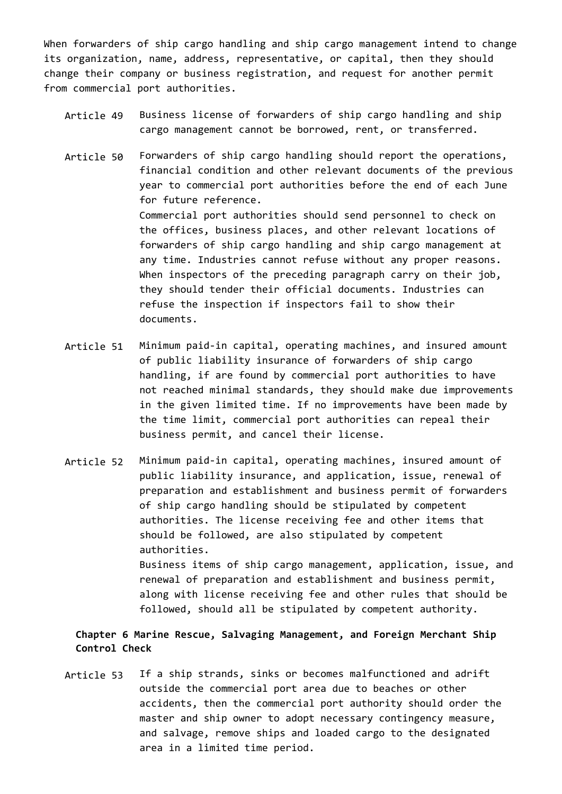When forwarders of ship cargo handling and ship cargo management intend to change its organization, name, address, representative, or capital, then they should change their company or business registration, and request for another permit from commercial port authorities.

- Article 49 Business license of forwarders of ship cargo handling and ship cargo management cannot be borrowed, rent, or transferred.
- Article 50 Forwarders of ship cargo handling should report the operations, financial condition and other relevant documents of the previous year to commercial port authorities before the end of each June for future reference. Commercial port authorities should send personnel to check on the offices, business places, and other relevant locations of forwarders of ship cargo handling and ship cargo management at any time. Industries cannot refuse without any proper reasons. When inspectors of the preceding paragraph carry on their job, they should tender their official documents. Industries can refuse the inspection if inspectors fail to show their documents.
- Article 51 Minimum paid-in capital, operating machines, and insured amount of public liability insurance of forwarders of ship cargo handling, if are found by commercial port authorities to have not reached minimal standards, they should make due improvements in the given limited time. If no improvements have been made by the time limit, commercial port authorities can repeal their business permit, and cancel their license.
- Article 52 Minimum paid-in capital, operating machines, insured amount of public liability insurance, and application, issue, renewal of preparation and establishment and business permit of forwarders of ship cargo handling should be stipulated by competent authorities. The license receiving fee and other items that should be followed, are also stipulated by competent authorities. Business items of ship cargo management, application, issue, and renewal of preparation and establishment and business permit, along with license receiving fee and other rules that should be followed, should all be stipulated by competent authority.

# **Chapter 6 Marine Rescue, Salvaging Management, and Foreign Merchant Ship Control Check**

Article 53 If a ship strands, sinks or becomes malfunctioned and adrift outside the commercial port area due to beaches or other accidents, then the commercial port authority should order the master and ship owner to adopt necessary contingency measure, and salvage, remove ships and loaded cargo to the designated area in a limited time period.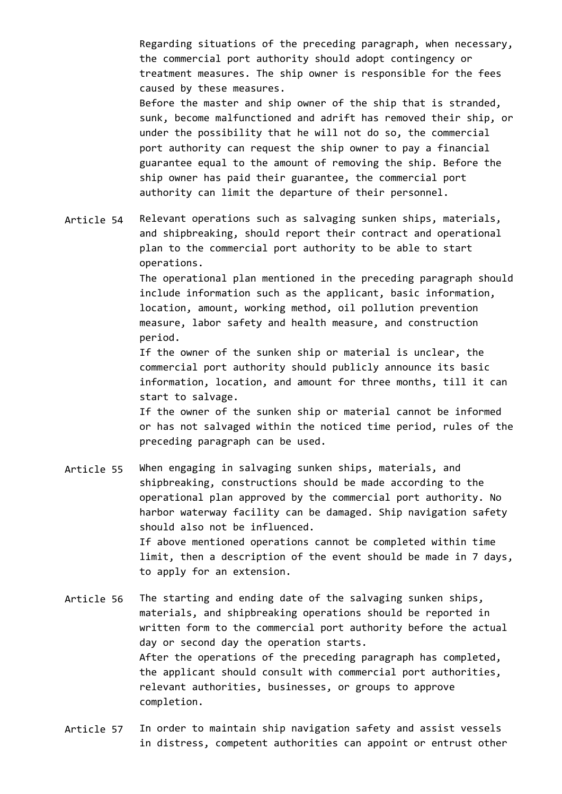Regarding situations of the preceding paragraph, when necessary, the commercial port authority should adopt contingency or treatment measures. The ship owner is responsible for the fees caused by these measures. Before the master and ship owner of the ship that is stranded, sunk, become malfunctioned and adrift has removed their ship, or under the possibility that he will not do so, the commercial port authority can request the ship owner to pay a financial guarantee equal to the amount of removing the ship. Before the

ship owner has paid their guarantee, the commercial port authority can limit the departure of their personnel.

Article 54 Relevant operations such as salvaging sunken ships, materials, and shipbreaking, should report their contract and operational plan to the commercial port authority to be able to start operations.

> The operational plan mentioned in the preceding paragraph should include information such as the applicant, basic information, location, amount, working method, oil pollution prevention measure, labor safety and health measure, and construction period.

If the owner of the sunken ship or material is unclear, the commercial port authority should publicly announce its basic information, location, and amount for three months, till it can start to salvage.

If the owner of the sunken ship or material cannot be informed or has not salvaged within the noticed time period, rules of the preceding paragraph can be used.

Article 55 When engaging in salvaging sunken ships, materials, and shipbreaking, constructions should be made according to the operational plan approved by the commercial port authority. No harbor waterway facility can be damaged. Ship navigation safety should also not be influenced. If above mentioned operations cannot be completed within time limit, then a description of the event should be made in 7 days, to apply for an extension.

Article 56 The starting and ending date of the salvaging sunken ships, materials, and shipbreaking operations should be reported in written form to the commercial port authority before the actual day or second day the operation starts. After the operations of the preceding paragraph has completed, the applicant should consult with commercial port authorities, relevant authorities, businesses, or groups to approve completion.

Article 57 In order to maintain ship navigation safety and assist vessels in distress, competent authorities can appoint or entrust other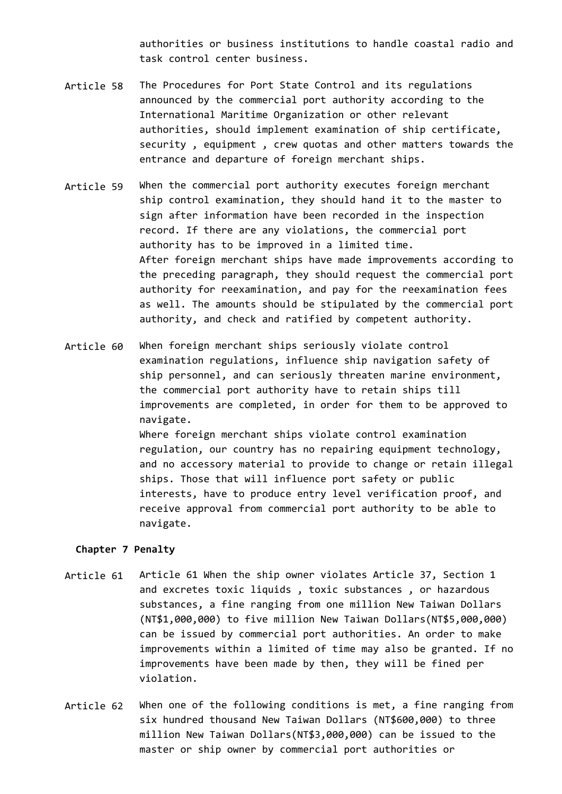authorities or business institutions to handle coastal radio and task control center business.

- Article 58 The Procedures for Port State Control and its regulations announced by the commercial port authority according to the International Maritime Organization or other relevant authorities, should implement examination of ship certificate, security , equipment , crew quotas and other matters towards the entrance and departure of foreign merchant ships.
- Article 59 When the commercial port authority executes foreign merchant ship control examination, they should hand it to the master to sign after information have been recorded in the inspection record. If there are any violations, the commercial port authority has to be improved in a limited time. After foreign merchant ships have made improvements according to the preceding paragraph, they should request the commercial port authority for reexamination, and pay for the reexamination fees as well. The amounts should be stipulated by the commercial port authority, and check and ratified by competent authority.
- Article 60 When foreign merchant ships seriously violate control examination regulations, influence ship navigation safety of ship personnel, and can seriously threaten marine environment, the commercial port authority have to retain ships till improvements are completed, in order for them to be approved to navigate. Where foreign merchant ships violate control examination regulation, our country has no repairing equipment technology, and no accessory material to provide to change or retain illegal ships. Those that will influence port safety or public interests, have to produce entry level verification proof, and receive approval from commercial port authority to be able to

#### **Chapter 7 Penalty**

navigate.

- Article 61 Article 61 When the ship owner violates Article 37, Section 1 and excretes toxic liquids , toxic substances , or hazardous substances, a fine ranging from one million New Taiwan Dollars (NT\$1,000,000) to five million New Taiwan Dollars(NT\$5,000,000) can be issued by commercial port authorities. An order to make improvements within a limited of time may also be granted. If no improvements have been made by then, they will be fined per violation.
- Article 62 When one of the following conditions is met, a fine ranging from six hundred thousand New Taiwan Dollars (NT\$600,000) to three million New Taiwan Dollars(NT\$3,000,000) can be issued to the master or ship owner by commercial port authorities or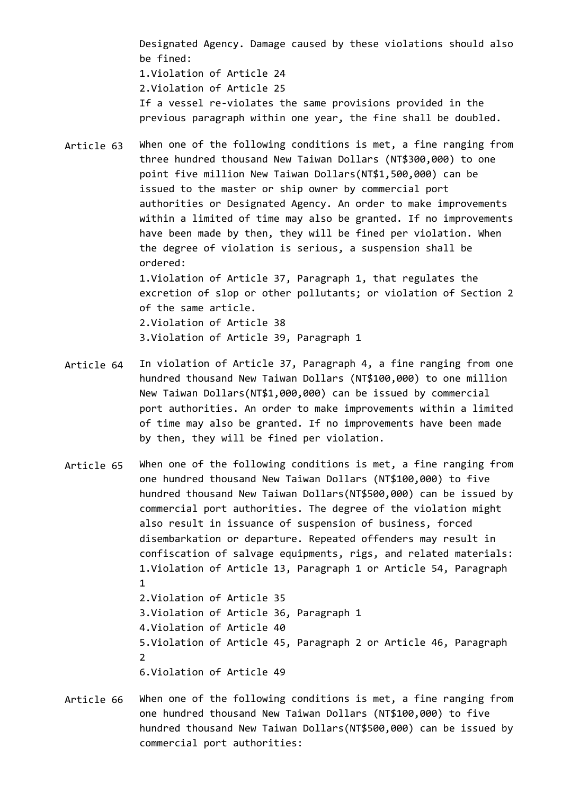Designated Agency. Damage caused by these violations should also be fined: 1.Violation of Article 24 2.Violation of Article 25 If a vessel re-violates the same provisions provided in the previous paragraph within one year, the fine shall be doubled.

- Article 63 When one of the following conditions is met, a fine ranging from three hundred thousand New Taiwan Dollars (NT\$300,000) to one point five million New Taiwan Dollars(NT\$1,500,000) can be issued to the master or ship owner by commercial port authorities or Designated Agency. An order to make improvements within a limited of time may also be granted. If no improvements have been made by then, they will be fined per violation. When the degree of violation is serious, a suspension shall be ordered: 1.Violation of Article 37, Paragraph 1, that regulates the excretion of slop or other pollutants; or violation of Section 2 of the same article. 2.Violation of Article 38 3.Violation of Article 39, Paragraph 1
- Article 64 In violation of Article 37, Paragraph 4, a fine ranging from one hundred thousand New Taiwan Dollars (NT\$100,000) to one million New Taiwan Dollars(NT\$1,000,000) can be issued by commercial port authorities. An order to make improvements within a limited of time may also be granted. If no improvements have been made by then, they will be fined per violation.
- Article 65 When one of the following conditions is met, a fine ranging from one hundred thousand New Taiwan Dollars (NT\$100,000) to five hundred thousand New Taiwan Dollars(NT\$500,000) can be issued by commercial port authorities. The degree of the violation might also result in issuance of suspension of business, forced disembarkation or departure. Repeated offenders may result in confiscation of salvage equipments, rigs, and related materials: 1.Violation of Article 13, Paragraph 1 or Article 54, Paragraph 1 2.Violation of Article 35 3.Violation of Article 36, Paragraph 1 4.Violation of Article 40 5.Violation of Article 45, Paragraph 2 or Article 46, Paragraph 2 6.Violation of Article 49
- Article 66 When one of the following conditions is met, a fine ranging from one hundred thousand New Taiwan Dollars (NT\$100,000) to five hundred thousand New Taiwan Dollars(NT\$500,000) can be issued by commercial port authorities: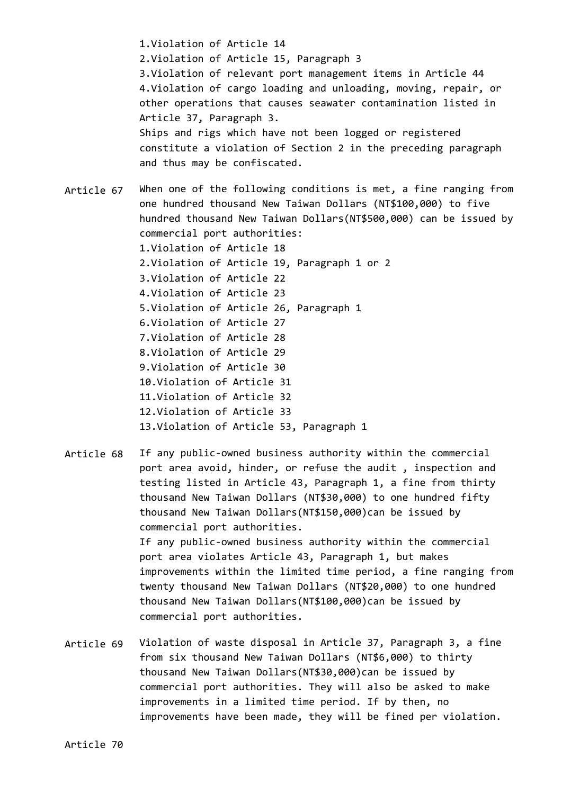1.Violation of Article 14 2.Violation of Article 15, Paragraph 3 3.Violation of relevant port management items in Article 44 4.Violation of cargo loading and unloading, moving, repair, or other operations that causes seawater contamination listed in Article 37, Paragraph 3. Ships and rigs which have not been logged or registered constitute a violation of Section 2 in the preceding paragraph and thus may be confiscated.

Article 67 When one of the following conditions is met, a fine ranging from one hundred thousand New Taiwan Dollars (NT\$100,000) to five hundred thousand New Taiwan Dollars(NT\$500,000) can be issued by commercial port authorities: 1.Violation of Article 18 2.Violation of Article 19, Paragraph 1 or 2 3.Violation of Article 22 4.Violation of Article 23 5.Violation of Article 26, Paragraph 1 6.Violation of Article 27 7.Violation of Article 28 8.Violation of Article 29 9.Violation of Article 30 10.Violation of Article 31 11.Violation of Article 32 12.Violation of Article 33 13.Violation of Article 53, Paragraph 1

Article 68 If any public-owned business authority within the commercial port area avoid, hinder, or refuse the audit , inspection and testing listed in Article 43, Paragraph 1, a fine from thirty thousand New Taiwan Dollars (NT\$30,000) to one hundred fifty thousand New Taiwan Dollars(NT\$150,000)can be issued by commercial port authorities. If any public-owned business authority within the commercial port area violates Article 43, Paragraph 1, but makes improvements within the limited time period, a fine ranging from twenty thousand New Taiwan Dollars (NT\$20,000) to one hundred thousand New Taiwan Dollars(NT\$100,000)can be issued by commercial port authorities.

Article 69 Violation of waste disposal in Article 37, Paragraph 3, a fine from six thousand New Taiwan Dollars (NT\$6,000) to thirty thousand New Taiwan Dollars(NT\$30,000)can be issued by commercial port authorities. They will also be asked to make improvements in a limited time period. If by then, no improvements have been made, they will be fined per violation.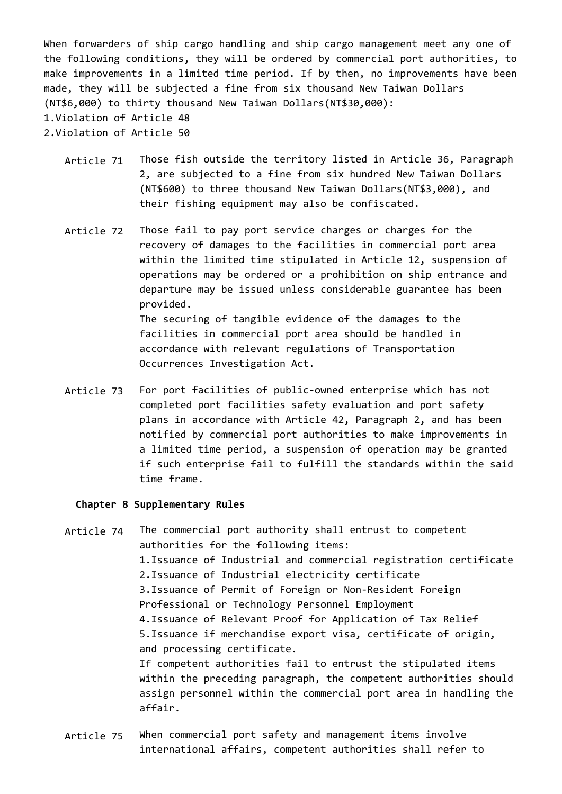When forwarders of ship cargo handling and ship cargo management meet any one of the following conditions, they will be ordered by commercial port authorities, to make improvements in a limited time period. If by then, no improvements have been made, they will be subjected a fine from six thousand New Taiwan Dollars (NT\$6,000) to thirty thousand New Taiwan Dollars(NT\$30,000): 1.Violation of Article 48 2.Violation of Article 50

- Article 71 Those fish outside the territory listed in Article 36, Paragraph 2, are subjected to a fine from six hundred New Taiwan Dollars (NT\$600) to three thousand New Taiwan Dollars(NT\$3,000), and their fishing equipment may also be confiscated.
- Article 72 Those fail to pay port service charges or charges for the recovery of damages to the facilities in commercial port area within the limited time stipulated in Article 12, suspension of operations may be ordered or a prohibition on ship entrance and departure may be issued unless considerable guarantee has been provided. The securing of tangible evidence of the damages to the facilities in commercial port area should be handled in accordance with relevant regulations of Transportation Occurrences Investigation Act.
- Article 73 For port facilities of public-owned enterprise which has not completed port facilities safety evaluation and port safety plans in accordance with Article 42, Paragraph 2, and has been notified by commercial port authorities to make improvements in a limited time period, a suspension of operation may be granted if such enterprise fail to fulfill the standards within the said time frame.

### **Chapter 8 Supplementary Rules**

- Article 74 The commercial port authority shall entrust to competent authorities for the following items: 1.Issuance of Industrial and commercial registration certificate 2.Issuance of Industrial electricity certificate 3.Issuance of Permit of Foreign or Non-Resident Foreign Professional or Technology Personnel Employment 4.Issuance of Relevant Proof for Application of Tax Relief 5.Issuance if merchandise export visa, certificate of origin, and processing certificate. If competent authorities fail to entrust the stipulated items within the preceding paragraph, the competent authorities should assign personnel within the commercial port area in handling the affair.
- Article 75 When commercial port safety and management items involve international affairs, competent authorities shall refer to